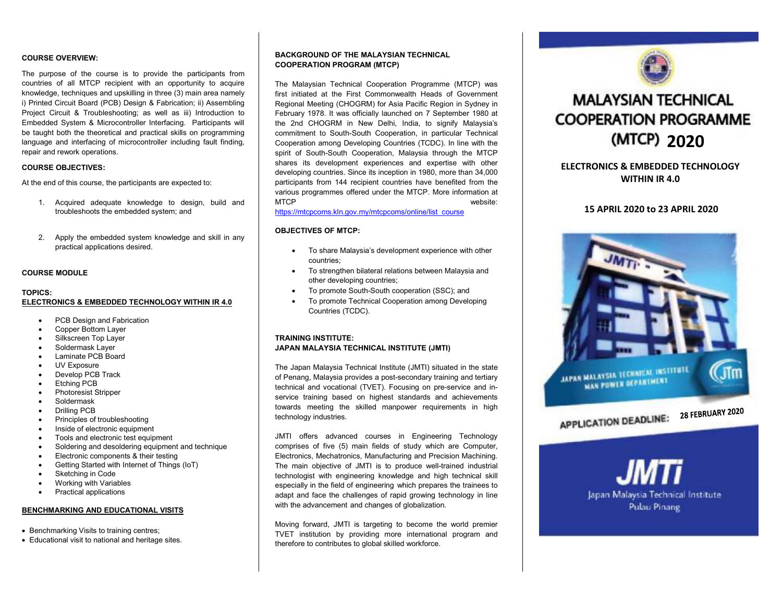# **COURSE OVERVIEW:**

The purpose of the course is to provide the participants from countries of all MTCP recipient with an opportunity to acquire knowledge, techniques and upskilling in three (3) main area namely i) Printed Circuit Board (PCB) Design & Fabrication; ii) Assembling Project Circuit & Troubleshooting; as well as iii) Introduction to Embedded System & Microcontroller Interfacing. Participants will be taught both the theoretical and practical skills on programming language and interfacing of microcontroller including fault finding, repair and rework operations.

# **COURSE OBJECTIVES:**

At the end of this course, the participants are expected to:

- 1. Acquired adequate knowledge to design, build andtroubleshoots the embedded system; and
- 2. Apply the embedded system knowledge and skill in any practical applications desired.

# **COURSE MODULE**

# **TOPICS:**

# **ELECTRONICS & EMBEDDED TECHNOLOGY WITHIN IR 4.0**

- PCB Design and Fabrication
- Copper Bottom Layer
- Silkscreen Top Layer
- Soldermask Layer
- Laminate PCB Board
- UV Exposure
- Develop PCB Track
- Etching PCB
- Photoresist Stripper
- Soldermask
- Drilling PCB
- Principles of troubleshooting
- Inside of electronic equipment
- **•** Tools and electronic test equipment
- Soldering and desoldering equipment and technique
- **Electronic components & their testing**
- Getting Started with Internet of Things (IoT)
- Sketching in Code
- Working with Variables
- Practical applications

#### **BENCHMARKING AND EDUCATIONAL VISITS**

- Benchmarking Visits to training centres;
- Educational visit to national and heritage sites.

# **BACKGROUND OF THE MALAYSIAN TECHNICAL COOPERATION PROGRAM (MTCP)**

The Malaysian Technical Cooperation Programme (MTCP) was first initiated at the First Commonwealth Heads of Government Regional Meeting (CHOGRM) for Asia Pacific Region in Sydney in February 1978. It was officially launched on 7 September 1980 at the 2nd CHOGRM in New Delhi, India, to signify Malaysia's commitment to South-South Cooperation, in particular Technical Cooperation among Developing Countries (TCDC). In line with the spirit of South-South Cooperation, Malaysia through the MTCP shares its development experiences and expertise with other developing countries. Since its inception in 1980, more than 34,000 participants from 144 recipient countries have benefited from the various programmes offered under the MTCP. More information at MTCP website:

# https://mtcpcoms.kln.gov.my/mtcpcoms/online/list\_course

# **OBJECTIVES OF MTCP:**

- To share Malaysia's development experience with other countries;
- To strengthen bilateral relations between Malaysia and other developing countries;
- To promote South-South cooperation (SSC); and
- To promote Technical Cooperation among Developing Countries (TCDC).

# **TRAINING INSTITUTE: JAPAN MALAYSIA TECHNICAL INSTITUTE (JMTI)**

The Japan Malaysia Technical Institute (JMTI) situated in the state of Penang, Malaysia provides a post-secondary training and tertiary technical and vocational (TVET). Focusing on pre-service and inservice training based on highest standards and achievements towards meeting the skilled manpower requirements in high technology industries.

JMTI offers advanced courses in Engineering Technology comprises of five (5) main fields of study which are Computer, Electronics, Mechatronics, Manufacturing and Precision Machining. The main objective of JMTI is to produce well-trained industrial technologist with engineering knowledge and high technical skill especially in the field of engineering which prepares the trainees to adapt and face the challenges of rapid growing technology in line with the advancement and changes of globalization.

Moving forward, JMTI is targeting to become the world premier TVET institution by providing more international program and therefore to contributes to global skilled workforce.



# **MALAYSIAN TECHNICAL COOPERATION PROGRAMME** (MTCP) 2020

# **ELECTRONICS & EMBEDDED TECHNOLOGYWITHIN IR 4.0**

# **15 APRIL 2020 to 23 APRIL 2020**